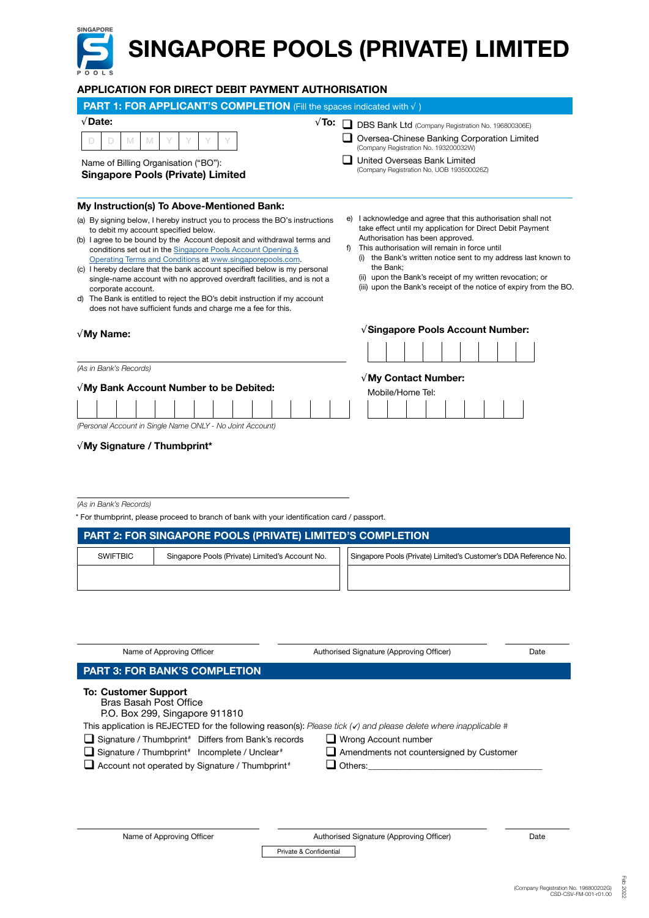## SINGAPORE SINGAPORE POOLS (PRIVATE) LIMITED APPLICATION FOR DIRECT DEBIT PAYMENT AUTHORISATION

| PART 1: FOR APPLICANT'S COMPLETION (Fill the spaces indicated with $\sqrt{}$ )                                                                                                                                                                                                                                                                                                                                                                                                                                                                                                                                                                          |                                                                                                                                                                                                                                                                                                                                                                                                                                     |  |  |  |  |
|---------------------------------------------------------------------------------------------------------------------------------------------------------------------------------------------------------------------------------------------------------------------------------------------------------------------------------------------------------------------------------------------------------------------------------------------------------------------------------------------------------------------------------------------------------------------------------------------------------------------------------------------------------|-------------------------------------------------------------------------------------------------------------------------------------------------------------------------------------------------------------------------------------------------------------------------------------------------------------------------------------------------------------------------------------------------------------------------------------|--|--|--|--|
| $\sqrt{$ Date:<br>$\sqrt{T}$ o:                                                                                                                                                                                                                                                                                                                                                                                                                                                                                                                                                                                                                         | DBS Bank Ltd (Company Registration No. 196800306E)                                                                                                                                                                                                                                                                                                                                                                                  |  |  |  |  |
| M<br>M                                                                                                                                                                                                                                                                                                                                                                                                                                                                                                                                                                                                                                                  | Oversea-Chinese Banking Corporation Limited<br>(Company Registration No. 193200032W)                                                                                                                                                                                                                                                                                                                                                |  |  |  |  |
| Name of Billing Organisation ("BO"):<br><b>Singapore Pools (Private) Limited</b>                                                                                                                                                                                                                                                                                                                                                                                                                                                                                                                                                                        | United Overseas Bank Limited<br>(Company Registration No. UOB 193500026Z)                                                                                                                                                                                                                                                                                                                                                           |  |  |  |  |
| My Instruction(s) To Above-Mentioned Bank:                                                                                                                                                                                                                                                                                                                                                                                                                                                                                                                                                                                                              |                                                                                                                                                                                                                                                                                                                                                                                                                                     |  |  |  |  |
| (a) By signing below, I hereby instruct you to process the BO's instructions<br>to debit my account specified below.<br>(b) I agree to be bound by the Account deposit and withdrawal terms and<br>conditions set out in the Singapore Pools Account Opening &<br>Operating Terms and Conditions at www.singaporepools.com.<br>(c) I hereby declare that the bank account specified below is my personal<br>single-name account with no approved overdraft facilities, and is not a<br>corporate account.<br>d) The Bank is entitled to reject the BO's debit instruction if my account<br>does not have sufficient funds and charge me a fee for this. | I acknowledge and agree that this authorisation shall not<br>e)<br>take effect until my application for Direct Debit Payment<br>Authorisation has been approved.<br>This authorisation will remain in force until<br>(i) the Bank's written notice sent to my address last known to<br>the Bank;<br>(ii) upon the Bank's receipt of my written revocation; or<br>(iii) upon the Bank's receipt of the notice of expiry from the BO. |  |  |  |  |
| $\sqrt{M}$ y Name:                                                                                                                                                                                                                                                                                                                                                                                                                                                                                                                                                                                                                                      | √Singapore Pools Account Number:                                                                                                                                                                                                                                                                                                                                                                                                    |  |  |  |  |
| (As in Bank's Records)                                                                                                                                                                                                                                                                                                                                                                                                                                                                                                                                                                                                                                  |                                                                                                                                                                                                                                                                                                                                                                                                                                     |  |  |  |  |
| $\sqrt{M}$ y Bank Account Number to be Debited:                                                                                                                                                                                                                                                                                                                                                                                                                                                                                                                                                                                                         | $\sqrt{M}$ y Contact Number:<br>Mobile/Home Tel:                                                                                                                                                                                                                                                                                                                                                                                    |  |  |  |  |
|                                                                                                                                                                                                                                                                                                                                                                                                                                                                                                                                                                                                                                                         |                                                                                                                                                                                                                                                                                                                                                                                                                                     |  |  |  |  |
| (Personal Account in Single Name ONLY - No Joint Account)                                                                                                                                                                                                                                                                                                                                                                                                                                                                                                                                                                                               |                                                                                                                                                                                                                                                                                                                                                                                                                                     |  |  |  |  |
| $\sqrt{M}$ y Signature / Thumbprint*                                                                                                                                                                                                                                                                                                                                                                                                                                                                                                                                                                                                                    |                                                                                                                                                                                                                                                                                                                                                                                                                                     |  |  |  |  |

(As in Bank's Records)

\* For thumbprint, please proceed to branch of bank with your identification card / passport.

| PART 2: FOR SINGAPORE POOLS (PRIVATE) LIMITED'S COMPLETION |                                                 |                                                                  |  |  |  |
|------------------------------------------------------------|-------------------------------------------------|------------------------------------------------------------------|--|--|--|
| <b>SWIFTBIC</b>                                            | Singapore Pools (Private) Limited's Account No. | Singapore Pools (Private) Limited's Customer's DDA Reference No. |  |  |  |
|                                                            |                                                 |                                                                  |  |  |  |

| Name of Approving Officer                                                                      | Authorised Signature (Approving Officer)                                                                           | Date |
|------------------------------------------------------------------------------------------------|--------------------------------------------------------------------------------------------------------------------|------|
| <b>PART 3: FOR BANK'S COMPLETION</b>                                                           |                                                                                                                    |      |
| <b>To: Customer Support</b><br><b>Bras Basah Post Office</b><br>P.O. Box 299, Singapore 911810 |                                                                                                                    |      |
|                                                                                                | This application is REJECTED for the following reason(s): Please tick $(v)$ and please delete where inapplicable # |      |
| Signature / Thumbprint <sup>#</sup> Differs from Bank's records                                | $\Box$ Wrong Account number                                                                                        |      |
| $\Box$ Signature / Thumbprint <sup>#</sup> Incomplete / Unclear <sup>#</sup>                   | Amendments not countersigned by Customer                                                                           |      |
| Account not operated by Signature / Thumbprint <sup>#</sup>                                    | Others:                                                                                                            |      |

| Name of Approving Officer | Authorised Signature (Approving Officer) | Date |
|---------------------------|------------------------------------------|------|
|                           | Private & Confidential                   |      |